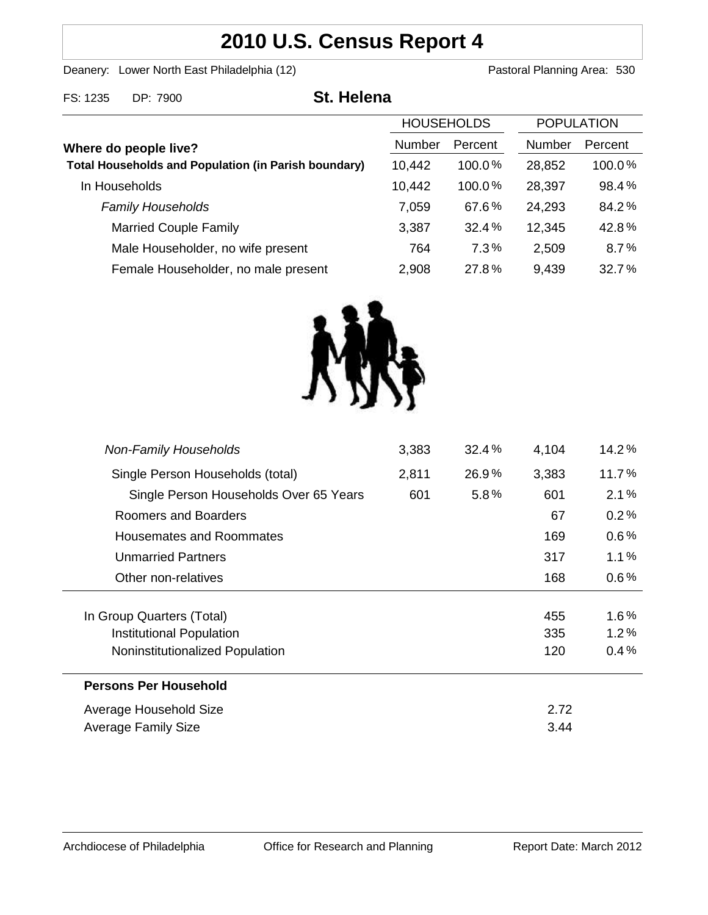# **2010 U.S. Census Report 4**

Deanery: Lower North East Philadelphia (12) Deanery: Lower North East Philadelphia (12)

| FS: 1235                                                                             | DP: 7900                            | <b>St. Helena</b> |                   |        |                   |        |
|--------------------------------------------------------------------------------------|-------------------------------------|-------------------|-------------------|--------|-------------------|--------|
|                                                                                      |                                     |                   | <b>HOUSEHOLDS</b> |        | <b>POPULATION</b> |        |
| Where do people live?<br><b>Total Households and Population (in Parish boundary)</b> |                                     | <b>Number</b>     | Percent           | Number | Percent           |        |
|                                                                                      |                                     |                   | 10,442            | 100.0% | 28,852            | 100.0% |
|                                                                                      | In Households                       |                   | 10,442            | 100.0% | 28,397            | 98.4%  |
|                                                                                      | <b>Family Households</b>            |                   | 7,059             | 67.6%  | 24,293            | 84.2%  |
|                                                                                      | <b>Married Couple Family</b>        |                   | 3,387             | 32.4%  | 12,345            | 42.8%  |
|                                                                                      | Male Householder, no wife present   |                   | 764               | 7.3%   | 2,509             | 8.7%   |
|                                                                                      | Female Householder, no male present |                   | 2,908             | 27.8%  | 9,439             | 32.7%  |
|                                                                                      |                                     |                   |                   |        |                   |        |



| <b>Average Family Size</b>             |       |       | 3.44  |         |
|----------------------------------------|-------|-------|-------|---------|
| Average Household Size                 |       |       |       |         |
| <b>Persons Per Household</b>           |       |       |       |         |
| Noninstitutionalized Population        |       |       | 120   | 0.4%    |
| Institutional Population               |       |       | 335   | $1.2\%$ |
| In Group Quarters (Total)              |       |       | 455   | $1.6\%$ |
| Other non-relatives                    |       |       | 168   | $0.6\%$ |
| <b>Unmarried Partners</b>              |       |       | 317   | 1.1%    |
| <b>Housemates and Roommates</b>        |       |       | 169   | $0.6\%$ |
| Roomers and Boarders                   |       |       | 67    | 0.2%    |
| Single Person Households Over 65 Years | 601   | 5.8%  | 601   | 2.1%    |
| Single Person Households (total)       | 2,811 | 26.9% | 3,383 | 11.7%   |
| <b>Non-Family Households</b>           | 3,383 | 32.4% | 4,104 | 14.2%   |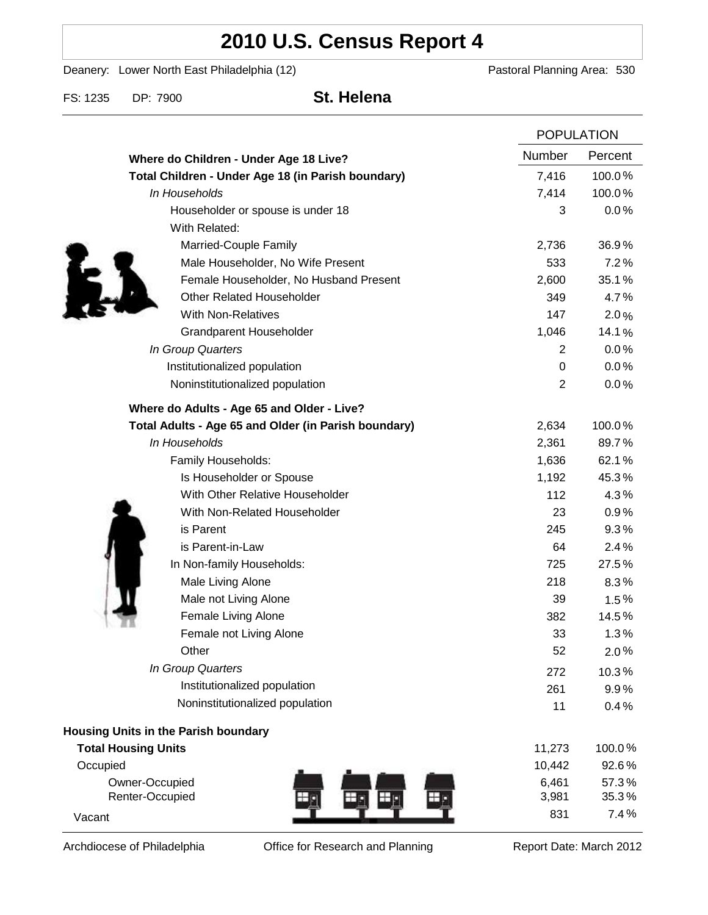# **2010 U.S. Census Report 4**

Deanery: Lower North East Philadelphia (12) Deanery: Lower North East Philadelphia (12)

FS: 1235 DP: 7900 **St. Helena**

|                                                      |                | <b>POPULATION</b>      |  |
|------------------------------------------------------|----------------|------------------------|--|
| Where do Children - Under Age 18 Live?               | <b>Number</b>  | Percent                |  |
| Total Children - Under Age 18 (in Parish boundary)   | 7,416          | 100.0%                 |  |
| In Households                                        | 7,414          | 100.0%                 |  |
| Householder or spouse is under 18                    |                | 3<br>0.0%              |  |
| With Related:                                        |                |                        |  |
| Married-Couple Family                                | 2,736          | 36.9%                  |  |
| Male Householder, No Wife Present                    |                | 533<br>7.2%            |  |
| Female Householder, No Husband Present               | 2,600          | 35.1%                  |  |
| <b>Other Related Householder</b>                     |                | 349<br>4.7%            |  |
| <b>With Non-Relatives</b>                            |                | 147<br>2.0%            |  |
| <b>Grandparent Householder</b>                       | 1,046          | 14.1%                  |  |
| In Group Quarters                                    |                | 0.0%<br>2              |  |
| Institutionalized population                         |                | 0.0%<br>0              |  |
| Noninstitutionalized population                      |                | $\overline{2}$<br>0.0% |  |
| Where do Adults - Age 65 and Older - Live?           |                |                        |  |
| Total Adults - Age 65 and Older (in Parish boundary) | 2,634          | 100.0%                 |  |
| In Households                                        | 2,361          | 89.7%                  |  |
| Family Households:                                   | 1,636          | 62.1%                  |  |
| Is Householder or Spouse                             | 1,192          | 45.3%                  |  |
| With Other Relative Householder                      |                | 112<br>4.3%            |  |
| With Non-Related Householder                         |                | 23<br>0.9%             |  |
| is Parent                                            |                | 9.3%<br>245            |  |
| is Parent-in-Law                                     |                | 2.4%<br>64             |  |
| In Non-family Households:                            |                | 27.5%<br>725           |  |
| Male Living Alone                                    |                | 218<br>$8.3\%$         |  |
| Male not Living Alone                                |                | 39<br>1.5%             |  |
| Female Living Alone                                  |                | 382<br>14.5%           |  |
| Female not Living Alone                              |                | 33<br>1.3%             |  |
| Other                                                |                | 52<br>2.0%             |  |
| In Group Quarters                                    |                | 272<br>10.3%           |  |
| Institutionalized population                         | 261            | 9.9%                   |  |
| Noninstitutionalized population                      |                | 11<br>0.4%             |  |
| Housing Units in the Parish boundary                 |                |                        |  |
| <b>Total Housing Units</b>                           |                | 11,273<br>100.0%       |  |
| Occupied                                             | 10,442         | 92.6%                  |  |
| Owner-Occupied<br>Renter-Occupied                    | 6,461<br>3,981 | 57.3%<br>35.3%         |  |
| Vacant                                               |                | 7.4%<br>831            |  |

Archdiocese of Philadelphia **Office for Research and Planning** Report Date: March 2012